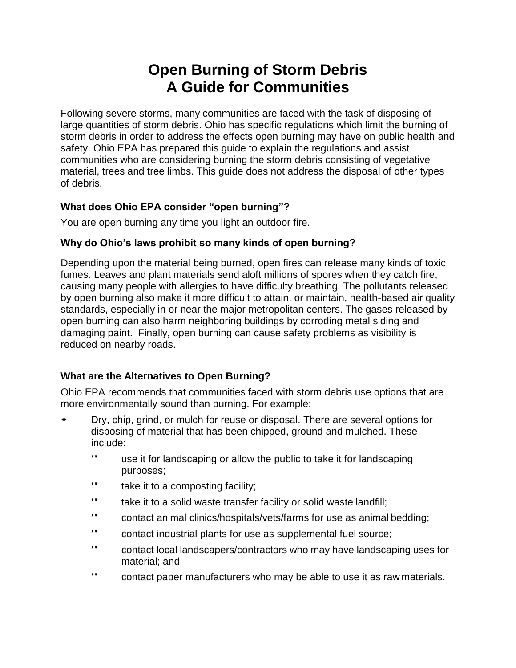## **Open Burning of Storm Debris A Guide for Communities**

Following severe storms, many communities are faced with the task of disposing of large quantities of storm debris. Ohio has specific regulations which limit the burning of storm debris in order to address the effects open burning may have on public health and safety. Ohio EPA has prepared this guide to explain the regulations and assist communities who are considering burning the storm debris consisting of vegetative material, trees and tree limbs. This guide does not address the disposal of other types of debris.

### **What does Ohio EPA consider "open burning"?**

You are open burning any time you light an outdoor fire.

### **Why do Ohio's laws prohibit so many kinds of open burning?**

Depending upon the material being burned, open fires can release many kinds of toxic fumes. Leaves and plant materials send aloft millions of spores when they catch fire, causing many people with allergies to have difficulty breathing. The pollutants released by open burning also make it more difficult to attain, or maintain, health-based air quality standards, especially in or near the major metropolitan centers. The gases released by open burning can also harm neighboring buildings by corroding metal siding and damaging paint. Finally, open burning can cause safety problems as visibility is reduced on nearby roads.

## **What are the Alternatives to Open Burning?**

Ohio EPA recommends that communities faced with storm debris use options that are more environmentally sound than burning. For example:

- Dry, chip, grind, or mulch for reuse or disposal. There are several options for disposing of material that has been chipped, ground and mulched. These include:
	- " use it for landscaping or allow the public to take it for landscaping purposes;
	- " take it to a composting facility;
	- " take it to a solid waste transfer facility or solid waste landfill;
	- " contact animal clinics/hospitals/vets/farms for use as animal bedding;
	- " contact industrial plants for use as supplemental fuel source;
	- " contact local landscapers/contractors who may have landscaping uses for material; and
	- " contact paper manufacturers who may be able to use it as raw materials.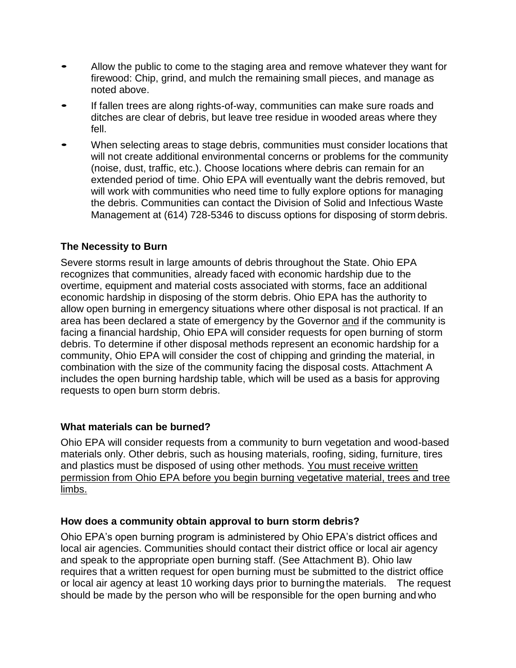- Allow the public to come to the staging area and remove whatever they want for firewood: Chip, grind, and mulch the remaining small pieces, and manage as noted above.
- If fallen trees are along rights-of-way, communities can make sure roads and ditches are clear of debris, but leave tree residue in wooded areas where they fell.
- When selecting areas to stage debris, communities must consider locations that will not create additional environmental concerns or problems for the community (noise, dust, traffic, etc.). Choose locations where debris can remain for an extended period of time. Ohio EPA will eventually want the debris removed, but will work with communities who need time to fully explore options for managing the debris. Communities can contact the Division of Solid and Infectious Waste Management at (614) 728-5346 to discuss options for disposing of storm debris.

### **The Necessity to Burn**

Severe storms result in large amounts of debris throughout the State. Ohio EPA recognizes that communities, already faced with economic hardship due to the overtime, equipment and material costs associated with storms, face an additional economic hardship in disposing of the storm debris. Ohio EPA has the authority to allow open burning in emergency situations where other disposal is not practical. If an area has been declared a state of emergency by the Governor and if the community is facing a financial hardship, Ohio EPA will consider requests for open burning of storm debris. To determine if other disposal methods represent an economic hardship for a community, Ohio EPA will consider the cost of chipping and grinding the material, in combination with the size of the community facing the disposal costs. Attachment A includes the open burning hardship table, which will be used as a basis for approving requests to open burn storm debris.

#### **What materials can be burned?**

Ohio EPA will consider requests from a community to burn vegetation and wood-based materials only. Other debris, such as housing materials, roofing, siding, furniture, tires and plastics must be disposed of using other methods. You must receive written permission from Ohio EPA before you begin burning vegetative material, trees and tree limbs.

#### **How does a community obtain approval to burn storm debris?**

Ohio EPA's open burning program is administered by Ohio EPA's district offices and local air agencies. Communities should contact their district office or local air agency and speak to the appropriate open burning staff. (See Attachment B). Ohio law requires that a written request for open burning must be submitted to the district office or local air agency at least 10 working days prior to burningthe materials. The request should be made by the person who will be responsible for the open burning and who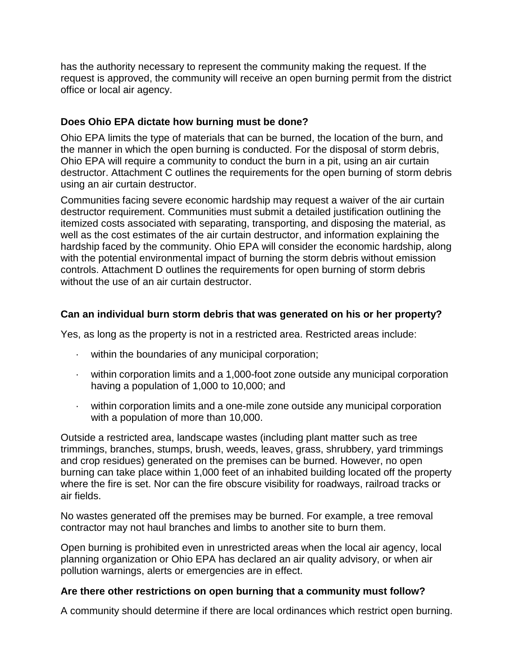has the authority necessary to represent the community making the request. If the request is approved, the community will receive an open burning permit from the district office or local air agency.

#### **Does Ohio EPA dictate how burning must be done?**

Ohio EPA limits the type of materials that can be burned, the location of the burn, and the manner in which the open burning is conducted. For the disposal of storm debris, Ohio EPA will require a community to conduct the burn in a pit, using an air curtain destructor. Attachment C outlines the requirements for the open burning of storm debris using an air curtain destructor.

Communities facing severe economic hardship may request a waiver of the air curtain destructor requirement. Communities must submit a detailed justification outlining the itemized costs associated with separating, transporting, and disposing the material, as well as the cost estimates of the air curtain destructor, and information explaining the hardship faced by the community. Ohio EPA will consider the economic hardship, along with the potential environmental impact of burning the storm debris without emission controls. Attachment D outlines the requirements for open burning of storm debris without the use of an air curtain destructor.

#### **Can an individual burn storm debris that was generated on his or her property?**

Yes, as long as the property is not in a restricted area. Restricted areas include:

- within the boundaries of any municipal corporation;
- · within corporation limits and a 1,000-foot zone outside any municipal corporation having a population of 1,000 to 10,000; and
- · within corporation limits and a one-mile zone outside any municipal corporation with a population of more than 10,000.

Outside a restricted area, landscape wastes (including plant matter such as tree trimmings, branches, stumps, brush, weeds, leaves, grass, shrubbery, yard trimmings and crop residues) generated on the premises can be burned. However, no open burning can take place within 1,000 feet of an inhabited building located off the property where the fire is set. Nor can the fire obscure visibility for roadways, railroad tracks or air fields.

No wastes generated off the premises may be burned. For example, a tree removal contractor may not haul branches and limbs to another site to burn them.

Open burning is prohibited even in unrestricted areas when the local air agency, local planning organization or Ohio EPA has declared an air quality advisory, or when air pollution warnings, alerts or emergencies are in effect.

#### **Are there other restrictions on open burning that a community must follow?**

A community should determine if there are local ordinances which restrict open burning.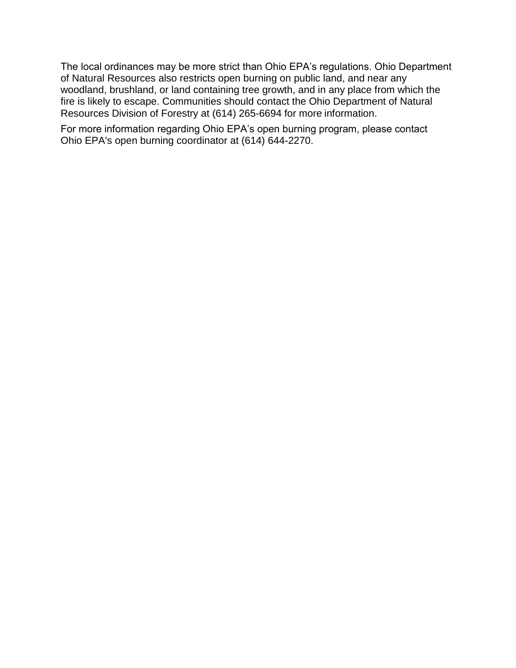The local ordinances may be more strict than Ohio EPA's regulations. Ohio Department of Natural Resources also restricts open burning on public land, and near any woodland, brushland, or land containing tree growth, and in any place from which the fire is likely to escape. Communities should contact the Ohio Department of Natural Resources Division of Forestry at (614) 265-6694 for more information.

For more information regarding Ohio EPA's open burning program, please contact Ohio EPA's open burning coordinator at (614) 644-2270.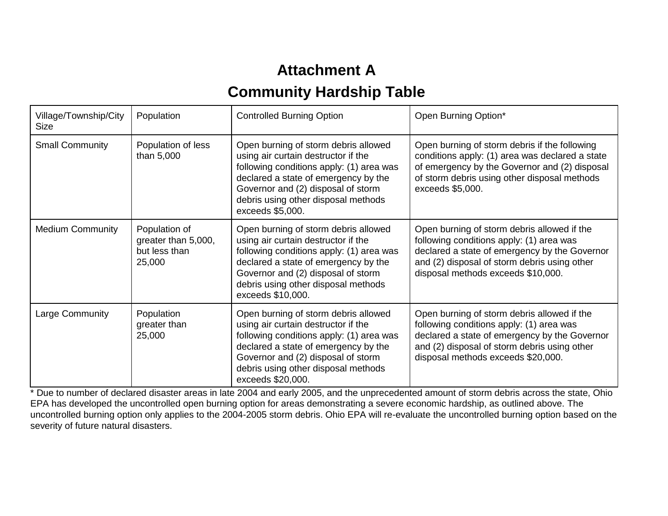## **Attachment A Community Hardship Table**

| Village/Township/City<br><b>Size</b> | Population                                                      | <b>Controlled Burning Option</b>                                                                                                                                                                                                                                  | Open Burning Option*                                                                                                                                                                                                           |
|--------------------------------------|-----------------------------------------------------------------|-------------------------------------------------------------------------------------------------------------------------------------------------------------------------------------------------------------------------------------------------------------------|--------------------------------------------------------------------------------------------------------------------------------------------------------------------------------------------------------------------------------|
| <b>Small Community</b>               | Population of less<br>than 5,000                                | Open burning of storm debris allowed<br>using air curtain destructor if the<br>following conditions apply: (1) area was<br>declared a state of emergency by the<br>Governor and (2) disposal of storm<br>debris using other disposal methods<br>exceeds \$5,000.  | Open burning of storm debris if the following<br>conditions apply: (1) area was declared a state<br>of emergency by the Governor and (2) disposal<br>of storm debris using other disposal methods<br>exceeds \$5,000.          |
| <b>Medium Community</b>              | Population of<br>greater than 5,000,<br>but less than<br>25,000 | Open burning of storm debris allowed<br>using air curtain destructor if the<br>following conditions apply: (1) area was<br>declared a state of emergency by the<br>Governor and (2) disposal of storm<br>debris using other disposal methods<br>exceeds \$10,000. | Open burning of storm debris allowed if the<br>following conditions apply: (1) area was<br>declared a state of emergency by the Governor<br>and (2) disposal of storm debris using other<br>disposal methods exceeds \$10,000. |
| Large Community                      | Population<br>greater than<br>25,000                            | Open burning of storm debris allowed<br>using air curtain destructor if the<br>following conditions apply: (1) area was<br>declared a state of emergency by the<br>Governor and (2) disposal of storm<br>debris using other disposal methods<br>exceeds \$20,000. | Open burning of storm debris allowed if the<br>following conditions apply: (1) area was<br>declared a state of emergency by the Governor<br>and (2) disposal of storm debris using other<br>disposal methods exceeds \$20,000. |

\* Due to number of declared disaster areas in late 2004 and early 2005, and the unprecedented amount of storm debris across the state, Ohio EPA has developed the uncontrolled open burning option for areas demonstrating a severe economic hardship, as outlined above. The uncontrolled burning option only applies to the 2004-2005 storm debris. Ohio EPA will re-evaluate the uncontrolled burning option based on the severity of future natural disasters.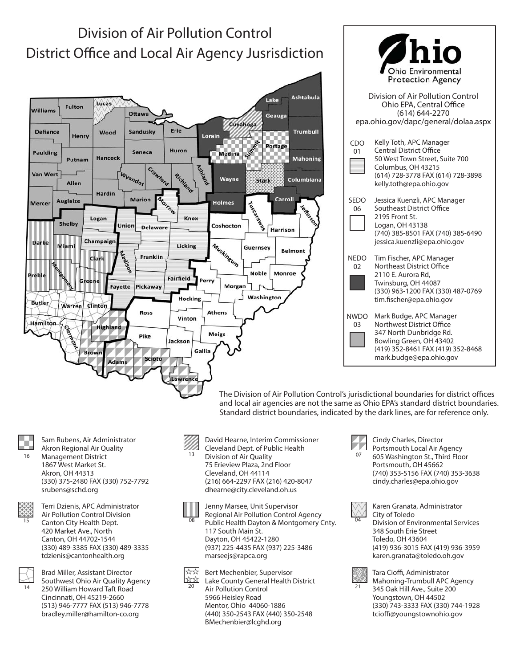# Division of Air Pollution Control District Office and Local Air Agency Jusrisdiction





The Division of Air Pollution Control's jurisdictional boundaries for district offices and local air agencies are not the same as Ohio EPA's standard district boundaries. Standard district boundaries, indicated by the dark lines, are for reference only.



Sam Rubens, Air Administrator Akron Regional Air Quality 16 Management District 13 1867 West Market St. Akron, OH 44313 (330) 375-2480 FAX (330) 752-7792 srubens@schd.org



Terri Dzienis, APC Administrator Air Pollution Control Division Canton City Health Dept. 420 Market Ave., North Canton, OH 44702-1544 (330) 489-3385 FAX (330) 489-3335 tdzienis@cantonhealth.org



Brad Miller, Assistant Director Southwest Ohio Air Quality Agency 250 William Howard Taft Road Cincinnati, OH 45219-2660 (513) 946-7777 FAX (513) 946-7778 bradley.miller@hamilton-co.org



David Hearne, Interim Commissioner Cleveland Dept. of Public Health Division of Air Quality 75 Erieview Plaza, 2nd Floor Cleveland, OH 44114 (216) 664-2297 FAX (216) 420-8047 dhearne@city.cleveland.oh.us



Jenny Marsee, Unit Supervisor Regional Air Pollution Control Agency  $\frac{08}{2}$  Public Health Dayton & Montgomery Cnty. 117 South Main St. Dayton, OH 45422-1280 (937) 225-4435 FAX (937) 225-3486 marseejs@rapca.org



Bert Mechenbier, Supervisor Lake County General Health District <sup>20</sup> Air Pollution Control <sup>21</sup> 5966 Heisley Road Mentor, Ohio 44060-1886 (440) 350-2543 FAX (440) 350-2548 BMechenbier@lcghd.org



Cindy Charles, Director

Portsmouth Local Air Agency 605 Washington St., Third Floor Portsmouth, OH 45662 (740) 353-5156 FAX (740) 353-3638 cindy.charles@epa.ohio.gov



Karen Granata, Administrator City of Toledo Division of Environmental Services 348 South Erie Street Toledo, OH 43604 (419) 936-3015 FAX (419) 936-3959 karen.granata@toledo.oh.gov



Tara Cioffi, Administrator Mahoning-Trumbull APC Agency 345 Oak Hill Ave., Suite 200 Youngstown, OH 44502 (330) 743-3333 FAX (330) 744-1928 tcioffi@youngstownohio.gov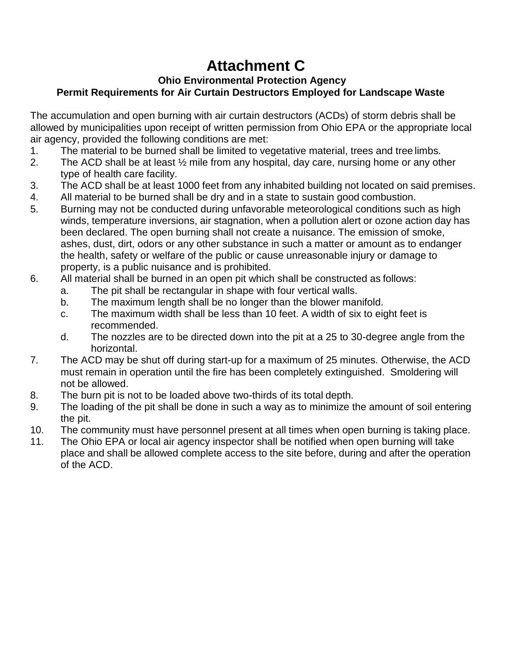## **Attachment C**

### **Ohio Environmental Protection Agency Permit Requirements for Air Curtain Destructors Employed for Landscape Waste**

The accumulation and open burning with air curtain destructors (ACDs) of storm debris shall be allowed by municipalities upon receipt of written permission from Ohio EPA or the appropriate local air agency, provided the following conditions are met:

- 1. The material to be burned shall be limited to vegetative material, trees and tree limbs.
- 2. The ACD shall be at least  $\frac{1}{2}$  mile from any hospital, day care, nursing home or any other type of health care facility.
- 3. The ACD shall be at least 1000 feet from any inhabited building not located on said premises.
- 4. All material to be burned shall be dry and in a state to sustain good combustion.
- 5. Burning may not be conducted during unfavorable meteorological conditions such as high winds, temperature inversions, air stagnation, when a pollution alert or ozone action day has been declared. The open burning shall not create a nuisance. The emission of smoke, ashes, dust, dirt, odors or any other substance in such a matter or amount as to endanger the health, safety or welfare of the public or cause unreasonable injury or damage to property, is a public nuisance and is prohibited.
- 6. All material shall be burned in an open pit which shall be constructed as follows:
	- a. The pit shall be rectangular in shape with four vertical walls.
	- b. The maximum length shall be no longer than the blower manifold.
	- c. The maximum width shall be less than 10 feet. A width of six to eight feet is recommended.
	- d. The nozzles are to be directed down into the pit at a 25 to 30-degree angle from the horizontal.
- 7. The ACD may be shut off during start-up for a maximum of 25 minutes. Otherwise, the ACD must remain in operation until the fire has been completely extinguished. Smoldering will not be allowed.
- 8. The burn pit is not to be loaded above two-thirds of its total depth.
- 9. The loading of the pit shall be done in such a way as to minimize the amount of soil entering the pit.
- 10. The community must have personnel present at all times when open burning is taking place.
- 11. The Ohio EPA or local air agency inspector shall be notified when open burning will take place and shall be allowed complete access to the site before, during and after the operation of the ACD.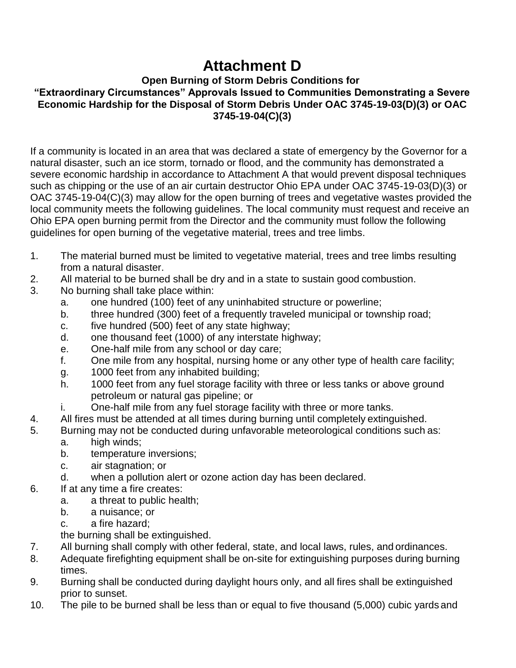## **Attachment D**

#### **Open Burning of Storm Debris Conditions for "Extraordinary Circumstances" Approvals Issued to Communities Demonstrating a Severe Economic Hardship for the Disposal of Storm Debris Under OAC 3745-19-03(D)(3) or OAC 3745-19-04(C)(3)**

If a community is located in an area that was declared a state of emergency by the Governor for a natural disaster, such an ice storm, tornado or flood, and the community has demonstrated a severe economic hardship in accordance to Attachment A that would prevent disposal techniques such as chipping or the use of an air curtain destructor Ohio EPA under OAC 3745-19-03(D)(3) or OAC 3745-19-04(C)(3) may allow for the open burning of trees and vegetative wastes provided the local community meets the following guidelines. The local community must request and receive an Ohio EPA open burning permit from the Director and the community must follow the following guidelines for open burning of the vegetative material, trees and tree limbs.

- 1. The material burned must be limited to vegetative material, trees and tree limbs resulting from a natural disaster.
- 2. All material to be burned shall be dry and in a state to sustain good combustion.
- 3. No burning shall take place within:
	- a. one hundred (100) feet of any uninhabited structure or powerline;
	- b. three hundred (300) feet of a frequently traveled municipal or township road;
	- c. five hundred (500) feet of any state highway;
	- d. one thousand feet (1000) of any interstate highway;
	- e. One-half mile from any school or day care;
	- f. One mile from any hospital, nursing home or any other type of health care facility;
	- g. 1000 feet from any inhabited building;
	- h. 1000 feet from any fuel storage facility with three or less tanks or above ground petroleum or natural gas pipeline; or
	- i. One-half mile from any fuel storage facility with three or more tanks.
- 4. All fires must be attended at all times during burning until completely extinguished.
- 5. Burning may not be conducted during unfavorable meteorological conditions such as:
	- a. high winds;
	- b. temperature inversions;
	- c. air stagnation; or
	- d. when a pollution alert or ozone action day has been declared.
- 6. If at any time a fire creates:
	- a. a threat to public health;
	- b. a nuisance; or
	- c. a fire hazard;
	- the burning shall be extinguished.
- 7. All burning shall comply with other federal, state, and local laws, rules, and ordinances.
- 8. Adequate firefighting equipment shall be on-site for extinguishing purposes during burning times.
- 9. Burning shall be conducted during daylight hours only, and all fires shall be extinguished prior to sunset.
- 10. The pile to be burned shall be less than or equal to five thousand (5,000) cubic yards and